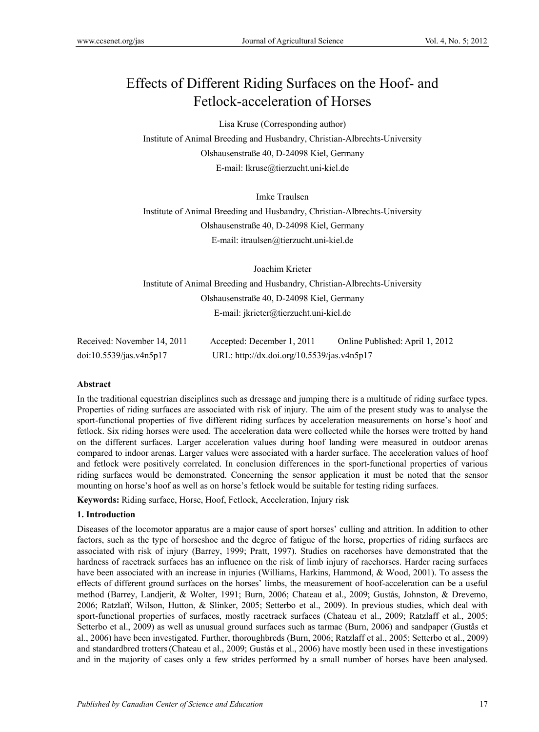# Effects of Different Riding Surfaces on the Hoof- and Fetlock-acceleration of Horses

Lisa Kruse (Corresponding author) Institute of Animal Breeding and Husbandry, Christian-Albrechts-University Olshausenstraße 40, D-24098 Kiel, Germany E-mail: lkruse@tierzucht.uni-kiel.de

Imke Traulsen

Institute of Animal Breeding and Husbandry, Christian-Albrechts-University Olshausenstraße 40, D-24098 Kiel, Germany E-mail: itraulsen@tierzucht.uni-kiel.de

Joachim Krieter Institute of Animal Breeding and Husbandry, Christian-Albrechts-University Olshausenstraße 40, D-24098 Kiel, Germany E-mail: jkrieter@tierzucht.uni-kiel.de

| Received: November 14, 2011 | Accepted: December 1, 2011                 | Online Published: April 1, 2012 |
|-----------------------------|--------------------------------------------|---------------------------------|
| doi:10.5539/jas.v4n5p17     | URL: http://dx.doi.org/10.5539/jas.v4n5p17 |                                 |

#### **Abstract**

In the traditional equestrian disciplines such as dressage and jumping there is a multitude of riding surface types. Properties of riding surfaces are associated with risk of injury. The aim of the present study was to analyse the sport-functional properties of five different riding surfaces by acceleration measurements on horse's hoof and fetlock. Six riding horses were used. The acceleration data were collected while the horses were trotted by hand on the different surfaces. Larger acceleration values during hoof landing were measured in outdoor arenas compared to indoor arenas. Larger values were associated with a harder surface. The acceleration values of hoof and fetlock were positively correlated. In conclusion differences in the sport-functional properties of various riding surfaces would be demonstrated. Concerning the sensor application it must be noted that the sensor mounting on horse's hoof as well as on horse's fetlock would be suitable for testing riding surfaces.

**Keywords:** Riding surface, Horse, Hoof, Fetlock, Acceleration, Injury risk

## **1. Introduction**

Diseases of the locomotor apparatus are a major cause of sport horses' culling and attrition. In addition to other factors, such as the type of horseshoe and the degree of fatigue of the horse, properties of riding surfaces are associated with risk of injury (Barrey, 1999; Pratt, 1997). Studies on racehorses have demonstrated that the hardness of racetrack surfaces has an influence on the risk of limb injury of racehorses. Harder racing surfaces have been associated with an increase in injuries (Williams, Harkins, Hammond, & Wood, 2001). To assess the effects of different ground surfaces on the horses' limbs, the measurement of hoof-acceleration can be a useful method (Barrey, Landjerit, & Wolter, 1991; Burn, 2006; Chateau et al., 2009; Gustås, Johnston, & Drevemo, 2006; Ratzlaff, Wilson, Hutton, & Slinker, 2005; Setterbo et al., 2009). In previous studies, which deal with sport-functional properties of surfaces, mostly racetrack surfaces (Chateau et al., 2009; Ratzlaff et al., 2005; Setterbo et al., 2009) as well as unusual ground surfaces such as tarmac (Burn, 2006) and sandpaper (Gustås et al., 2006) have been investigated. Further, thoroughbreds (Burn, 2006; Ratzlaff et al., 2005; Setterbo et al., 2009) and standardbred trotters(Chateau et al., 2009; Gustås et al., 2006) have mostly been used in these investigations and in the majority of cases only a few strides performed by a small number of horses have been analysed.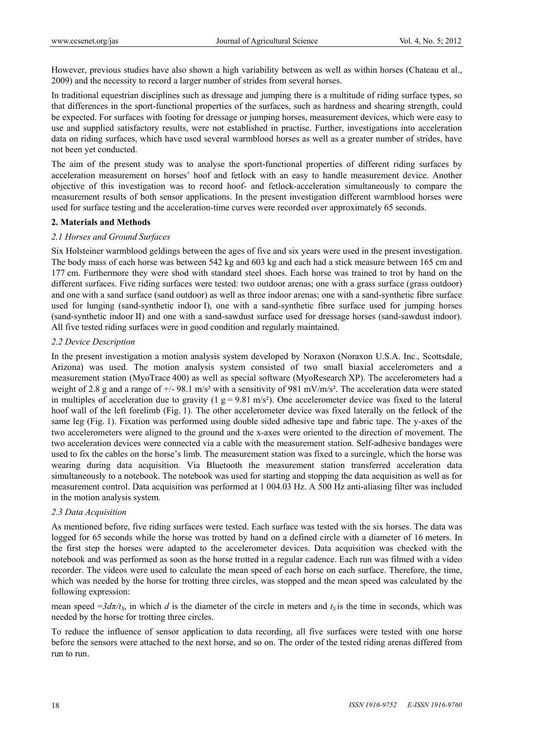However, previous studies have also shown a high variability between as well as within horses (Chateau et al., 2009) and the necessity to record a larger number of strides from several horses.

In traditional equestrian disciplines such as dressage and jumping there is a multitude of riding surface types, so that differences in the sport-functional properties of the surfaces, such as hardness and shearing strength, could be expected. For surfaces with footing for dressage or jumping horses, measurement devices, which were easy to use and supplied satisfactory results, were not established in practise. Further, investigations into acceleration data on riding surfaces, which have used several warmblood horses as well as a greater number of strides, have not been yet conducted.

The aim of the present study was to analyse the sport-functional properties of different riding surfaces by acceleration measurement on horses' hoof and fetlock with an easy to handle measurement device. Another objective of this investigation was to record hoof- and fetlock-acceleration simultaneously to compare the measurement results of both sensor applications. In the present investigation different warmblood horses were used for surface testing and the acceleration-time curves were recorded over approximately 65 seconds.

#### **2. Materials and Methods**

#### *2.1 Horses and Ground Surfaces*

Six Holsteiner warmblood geldings between the ages of five and six years were used in the present investigation. The body mass of each horse was between 542 kg and 603 kg and each had a stick measure between 165 cm and 177 cm. Furthermore they were shod with standard steel shoes. Each horse was trained to trot by hand on the different surfaces. Five riding surfaces were tested: two outdoor arenas; one with a grass surface (grass outdoor) and one with a sand surface (sand outdoor) as well as three indoor arenas; one with a sand-synthetic fibre surface used for lunging (sand-synthetic indoor I), one with a sand-synthetic fibre surface used for jumping horses (sand-synthetic indoor II) and one with a sand-sawdust surface used for dressage horses (sand-sawdust indoor). All five tested riding surfaces were in good condition and regularly maintained.

#### *2.2 Device Description*

In the present investigation a motion analysis system developed by Noraxon (Noraxon U.S.A. Inc., Scottsdale, Arizona) was used. The motion analysis system consisted of two small biaxial accelerometers and a measurement station (MyoTrace 400) as well as special software (MyoResearch XP). The accelerometers had a weight of 2.8 g and a range of  $\pm$ /- 98.1 m/s<sup>2</sup> with a sensitivity of 981 mV/m/s<sup>2</sup>. The acceleration data were stated in multiples of acceleration due to gravity  $(1 g = 9.81 \text{ m/s}^2)$ . One accelerometer device was fixed to the lateral hoof wall of the left forelimb (Fig. 1). The other accelerometer device was fixed laterally on the fetlock of the same leg (Fig. 1). Fixation was performed using double sided adhesive tape and fabric tape. The y-axes of the two accelerometers were aligned to the ground and the x-axes were oriented to the direction of movement. The two acceleration devices were connected via a cable with the measurement station. Self-adhesive bandages were used to fix the cables on the horse's limb. The measurement station was fixed to a surcingle, which the horse was wearing during data acquisition. Via Bluetooth the measurement station transferred acceleration data simultaneously to a notebook. The notebook was used for starting and stopping the data acquisition as well as for measurement control. Data acquisition was performed at 1 004.03 Hz. A 500 Hz anti-aliasing filter was included in the motion analysis system.

## *2.3 Data Acquisition*

As mentioned before, five riding surfaces were tested. Each surface was tested with the six horses. The data was logged for 65 seconds while the horse was trotted by hand on a defined circle with a diameter of 16 meters. In the first step the horses were adapted to the accelerometer devices. Data acquisition was checked with the notebook and was performed as soon as the horse trotted in a regular cadence. Each run was filmed with a video recorder. The videos were used to calculate the mean speed of each horse on each surface. Therefore, the time, which was needed by the horse for trotting three circles, was stopped and the mean speed was calculated by the following expression:

mean speed  $=3d\pi$ /t<sub>S</sub>, in which *d* is the diameter of the circle in meters and  $t<sub>S</sub>$  is the time in seconds, which was needed by the horse for trotting three circles.

To reduce the influence of sensor application to data recording, all five surfaces were tested with one horse before the sensors were attached to the next horse, and so on. The order of the tested riding arenas differed from run to run.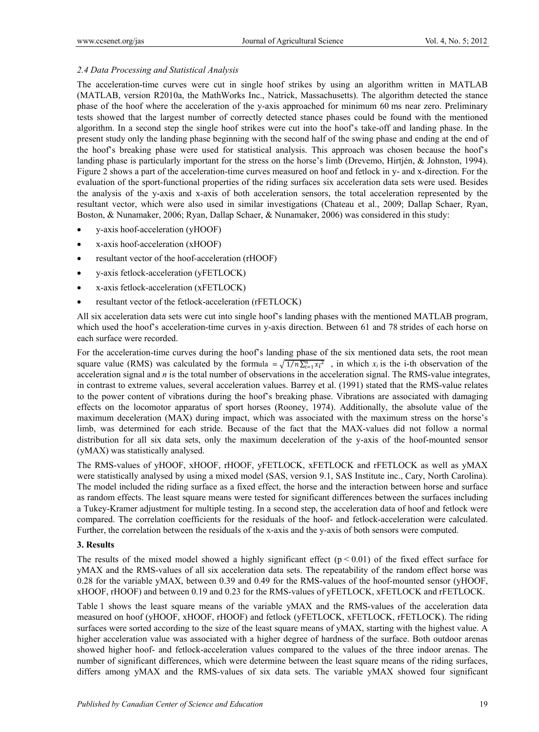# *2.4 Data Processing and Statistical Analysis*

The acceleration-time curves were cut in single hoof strikes by using an algorithm written in MATLAB (MATLAB, version R2010a, the MathWorks Inc., Natrick, Massachusetts). The algorithm detected the stance phase of the hoof where the acceleration of the y-axis approached for minimum 60 ms near zero. Preliminary tests showed that the largest number of correctly detected stance phases could be found with the mentioned algorithm. In a second step the single hoof strikes were cut into the hoof's take-off and landing phase. In the present study only the landing phase beginning with the second half of the swing phase and ending at the end of the hoof's breaking phase were used for statistical analysis. This approach was chosen because the hoof's landing phase is particularly important for the stress on the horse's limb (Drevemo, Hirtjén, & Johnston, 1994). Figure 2 shows a part of the acceleration-time curves measured on hoof and fetlock in y- and x-direction. For the evaluation of the sport-functional properties of the riding surfaces six acceleration data sets were used. Besides the analysis of the y-axis and x-axis of both acceleration sensors, the total acceleration represented by the resultant vector, which were also used in similar investigations (Chateau et al., 2009; Dallap Schaer, Ryan, Boston, & Nunamaker, 2006; Ryan, Dallap Schaer, & Nunamaker, 2006) was considered in this study:

- y-axis hoof-acceleration (yHOOF)
- x-axis hoof-acceleration (xHOOF)
- resultant vector of the hoof-acceleration (rHOOF)
- y-axis fetlock-acceleration (yFETLOCK)
- x-axis fetlock-acceleration (xFETLOCK)
- resultant vector of the fetlock-acceleration (rFETLOCK)

All six acceleration data sets were cut into single hoof's landing phases with the mentioned MATLAB program, which used the hoof's acceleration-time curves in y-axis direction. Between 61 and 78 strides of each horse on each surface were recorded.

For the acceleration-time curves during the hoof's landing phase of the six mentioned data sets, the root mean square value (RMS) was calculated by the formula  $=\sqrt{1/n}\sum_{i=1}^n x_i^2$ , in which  $x_i$  is the i-th observation of the acceleration signal and *n* is the total number of observations in the acceleration signal. The RMS-value integrates, in contrast to extreme values, several acceleration values. Barrey et al. (1991) stated that the RMS-value relates to the power content of vibrations during the hoof's breaking phase. Vibrations are associated with damaging effects on the locomotor apparatus of sport horses (Rooney, 1974). Additionally, the absolute value of the maximum deceleration (MAX) during impact, which was associated with the maximum stress on the horse's limb, was determined for each stride. Because of the fact that the MAX-values did not follow a normal distribution for all six data sets, only the maximum deceleration of the y-axis of the hoof-mounted sensor (yMAX) was statistically analysed.

The RMS-values of yHOOF, xHOOF, rHOOF, yFETLOCK, xFETLOCK and rFETLOCK as well as yMAX were statistically analysed by using a mixed model (SAS, version 9.1, SAS Institute inc., Cary, North Carolina). The model included the riding surface as a fixed effect, the horse and the interaction between horse and surface as random effects. The least square means were tested for significant differences between the surfaces including a Tukey-Kramer adjustment for multiple testing. In a second step, the acceleration data of hoof and fetlock were compared. The correlation coefficients for the residuals of the hoof- and fetlock-acceleration were calculated. Further, the correlation between the residuals of the x-axis and the y-axis of both sensors were computed.

## **3. Results**

The results of the mixed model showed a highly significant effect ( $p < 0.01$ ) of the fixed effect surface for yMAX and the RMS-values of all six acceleration data sets. The repeatability of the random effect horse was 0.28 for the variable yMAX, between 0.39 and 0.49 for the RMS-values of the hoof-mounted sensor (yHOOF, xHOOF, rHOOF) and between 0.19 and 0.23 for the RMS-values of yFETLOCK, xFETLOCK and rFETLOCK.

Table 1 shows the least square means of the variable yMAX and the RMS-values of the acceleration data measured on hoof (yHOOF, xHOOF, rHOOF) and fetlock (yFETLOCK, xFETLOCK, rFETLOCK). The riding surfaces were sorted according to the size of the least square means of yMAX, starting with the highest value. A higher acceleration value was associated with a higher degree of hardness of the surface. Both outdoor arenas showed higher hoof- and fetlock-acceleration values compared to the values of the three indoor arenas. The number of significant differences, which were determine between the least square means of the riding surfaces, differs among yMAX and the RMS-values of six data sets. The variable yMAX showed four significant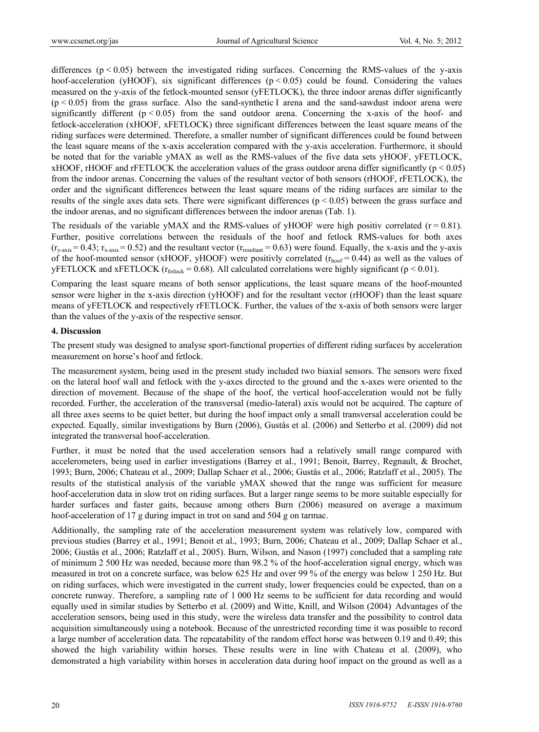differences  $(p < 0.05)$  between the investigated riding surfaces. Concerning the RMS-values of the y-axis hoof-acceleration (yHOOF), six significant differences ( $p < 0.05$ ) could be found. Considering the values measured on the y-axis of the fetlock-mounted sensor (yFETLOCK), the three indoor arenas differ significantly  $(p < 0.05)$  from the grass surface. Also the sand-synthetic I arena and the sand-sawdust indoor arena were significantly different  $(p < 0.05)$  from the sand outdoor arena. Concerning the x-axis of the hoof- and fetlock-acceleration (xHOOF, xFETLOCK) three significant differences between the least square means of the riding surfaces were determined. Therefore, a smaller number of significant differences could be found between the least square means of the x-axis acceleration compared with the y-axis acceleration. Furthermore, it should be noted that for the variable yMAX as well as the RMS-values of the five data sets yHOOF, yFETLOCK, xHOOF, rHOOF and rFETLOCK the acceleration values of the grass outdoor arena differ significantly ( $p < 0.05$ ) from the indoor arenas. Concerning the values of the resultant vector of both sensors (rHOOF, rFETLOCK), the order and the significant differences between the least square means of the riding surfaces are similar to the results of the single axes data sets. There were significant differences ( $p < 0.05$ ) between the grass surface and the indoor arenas, and no significant differences between the indoor arenas (Tab. 1).

The residuals of the variable yMAX and the RMS-values of yHOOF were high positiv correlated ( $r = 0.81$ ). Further, positive correlations between the residuals of the hoof and fetlock RMS-values for both axes  $(r_{y-axis} = 0.43; r_{x-axis} = 0.52)$  and the resultant vector  $(r_{resultant} = 0.63)$  were found. Equally, the x-axis and the y-axis of the hoof-mounted sensor (xHOOF, yHOOF) were positivly correlated  $(r_{\text{hoof}} = 0.44)$  as well as the values of yFETLOCK and xFETLOCK ( $r_{\text{fetlock}} = 0.68$ ). All calculated correlations were highly significant ( $p < 0.01$ ).

Comparing the least square means of both sensor applications, the least square means of the hoof-mounted sensor were higher in the x-axis direction (yHOOF) and for the resultant vector (rHOOF) than the least square means of yFETLOCK and respectively rFETLOCK. Further, the values of the x-axis of both sensors were larger than the values of the y-axis of the respective sensor.

#### **4. Discussion**

The present study was designed to analyse sport-functional properties of different riding surfaces by acceleration measurement on horse's hoof and fetlock.

The measurement system, being used in the present study included two biaxial sensors. The sensors were fixed on the lateral hoof wall and fetlock with the y-axes directed to the ground and the x-axes were oriented to the direction of movement. Because of the shape of the hoof, the vertical hoof-acceleration would not be fully recorded. Further, the acceleration of the transversal (medio-lateral) axis would not be acquired. The capture of all three axes seems to be quiet better, but during the hoof impact only a small transversal acceleration could be expected. Equally, similar investigations by Burn (2006), Gustås et al. (2006) and Setterbo et al. (2009) did not integrated the transversal hoof-acceleration.

Further, it must be noted that the used acceleration sensors had a relatively small range compared with accelerometers, being used in earlier investigations (Barrey et al., 1991; Benoit, Barrey, Regnault, & Brochet, 1993; Burn, 2006; Chateau et al., 2009; Dallap Schaer et al., 2006; Gustås et al., 2006; Ratzlaff et al., 2005). The results of the statistical analysis of the variable yMAX showed that the range was sufficient for measure hoof-acceleration data in slow trot on riding surfaces. But a larger range seems to be more suitable especially for harder surfaces and faster gaits, because among others Burn (2006) measured on average a maximum hoof-acceleration of 17 g during impact in trot on sand and 504 g on tarmac.

Additionally, the sampling rate of the acceleration measurement system was relatively low, compared with previous studies (Barrey et al., 1991; Benoit et al., 1993; Burn, 2006; Chateau et al., 2009; Dallap Schaer et al., 2006; Gustås et al., 2006; Ratzlaff et al., 2005). Burn, Wilson, and Nason (1997) concluded that a sampling rate of minimum 2 500 Hz was needed, because more than 98.2 % of the hoof-acceleration signal energy, which was measured in trot on a concrete surface, was below 625 Hz and over 99 % of the energy was below 1 250 Hz. But on riding surfaces, which were investigated in the current study, lower frequencies could be expected, than on a concrete runway. Therefore, a sampling rate of 1 000 Hz seems to be sufficient for data recording and would equally used in similar studies by Setterbo et al. (2009) and Witte, Knill, and Wilson (2004). Advantages of the acceleration sensors, being used in this study, were the wireless data transfer and the possibility to control data acquisition simultaneously using a notebook. Because of the unrestricted recording time it was possible to record a large number of acceleration data. The repeatability of the random effect horse was between 0.19 and 0.49; this showed the high variability within horses. These results were in line with Chateau et al. (2009), who demonstrated a high variability within horses in acceleration data during hoof impact on the ground as well as a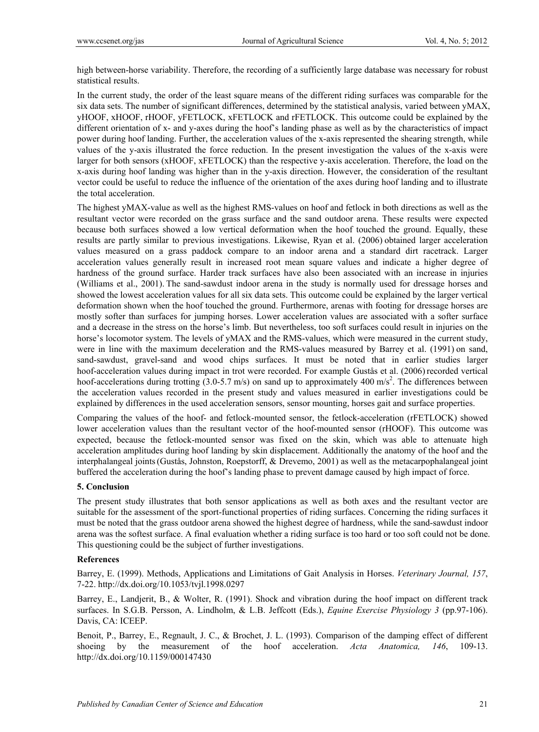high between-horse variability. Therefore, the recording of a sufficiently large database was necessary for robust statistical results.

In the current study, the order of the least square means of the different riding surfaces was comparable for the six data sets. The number of significant differences, determined by the statistical analysis, varied between yMAX, yHOOF, xHOOF, rHOOF, yFETLOCK, xFETLOCK and rFETLOCK. This outcome could be explained by the different orientation of x- and y-axes during the hoof's landing phase as well as by the characteristics of impact power during hoof landing. Further, the acceleration values of the x-axis represented the shearing strength, while values of the y-axis illustrated the force reduction. In the present investigation the values of the x-axis were larger for both sensors (xHOOF, xFETLOCK) than the respective y-axis acceleration. Therefore, the load on the x-axis during hoof landing was higher than in the y-axis direction. However, the consideration of the resultant vector could be useful to reduce the influence of the orientation of the axes during hoof landing and to illustrate the total acceleration.

The highest yMAX-value as well as the highest RMS-values on hoof and fetlock in both directions as well as the resultant vector were recorded on the grass surface and the sand outdoor arena. These results were expected because both surfaces showed a low vertical deformation when the hoof touched the ground. Equally, these results are partly similar to previous investigations. Likewise, Ryan et al. (2006) obtained larger acceleration values measured on a grass paddock compare to an indoor arena and a standard dirt racetrack. Larger acceleration values generally result in increased root mean square values and indicate a higher degree of hardness of the ground surface. Harder track surfaces have also been associated with an increase in injuries (Williams et al., 2001). The sand-sawdust indoor arena in the study is normally used for dressage horses and showed the lowest acceleration values for all six data sets. This outcome could be explained by the larger vertical deformation shown when the hoof touched the ground. Furthermore, arenas with footing for dressage horses are mostly softer than surfaces for jumping horses. Lower acceleration values are associated with a softer surface and a decrease in the stress on the horse's limb. But nevertheless, too soft surfaces could result in injuries on the horse's locomotor system. The levels of yMAX and the RMS-values, which were measured in the current study, were in line with the maximum deceleration and the RMS-values measured by Barrey et al. (1991) on sand, sand-sawdust, gravel-sand and wood chips surfaces. It must be noted that in earlier studies larger hoof-acceleration values during impact in trot were recorded. For example Gustås et al. (2006) recorded vertical hoof-accelerations during trotting  $(3.0 - 5.7 \text{ m/s})$  on sand up to approximately 400 m/s<sup>2</sup>. The differences between the acceleration values recorded in the present study and values measured in earlier investigations could be explained by differences in the used acceleration sensors, sensor mounting, horses gait and surface properties.

Comparing the values of the hoof- and fetlock-mounted sensor, the fetlock-acceleration (rFETLOCK) showed lower acceleration values than the resultant vector of the hoof-mounted sensor (rHOOF). This outcome was expected, because the fetlock-mounted sensor was fixed on the skin, which was able to attenuate high acceleration amplitudes during hoof landing by skin displacement. Additionally the anatomy of the hoof and the interphalangeal joints(Gustås, Johnston, Roepstorff, & Drevemo, 2001) as well as the metacarpophalangeal joint buffered the acceleration during the hoof's landing phase to prevent damage caused by high impact of force.

## **5. Conclusion**

The present study illustrates that both sensor applications as well as both axes and the resultant vector are suitable for the assessment of the sport-functional properties of riding surfaces. Concerning the riding surfaces it must be noted that the grass outdoor arena showed the highest degree of hardness, while the sand-sawdust indoor arena was the softest surface. A final evaluation whether a riding surface is too hard or too soft could not be done. This questioning could be the subject of further investigations.

## **References**

Barrey, E. (1999). Methods, Applications and Limitations of Gait Analysis in Horses. *Veterinary Journal, 157*, 7-22. http://dx.doi.org/10.1053/tvjl.1998.0297

Barrey, E., Landjerit, B., & Wolter, R. (1991). Shock and vibration during the hoof impact on different track surfaces. In S.G.B. Persson, A. Lindholm, & L.B. Jeffcott (Eds.), *Equine Exercise Physiology 3* (pp.97-106). Davis, CA: ICEEP.

Benoit, P., Barrey, E., Regnault, J. C., & Brochet, J. L. (1993). Comparison of the damping effect of different shoeing by the measurement of the hoof acceleration. *Acta Anatomica, 146*, 109-13. http://dx.doi.org/10.1159/000147430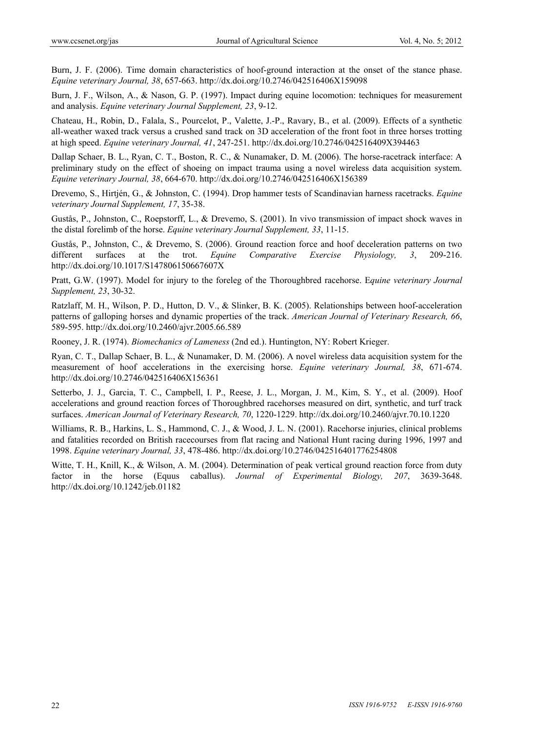Burn, J. F. (2006). Time domain characteristics of hoof-ground interaction at the onset of the stance phase. *Equine veterinary Journal, 38*, 657-663. http://dx.doi.org/10.2746/042516406X159098

Burn, J. F., Wilson, A., & Nason, G. P. (1997). Impact during equine locomotion: techniques for measurement and analysis. *Equine veterinary Journal Supplement, 23*, 9-12.

Chateau, H., Robin, D., Falala, S., Pourcelot, P., Valette, J.-P., Ravary, B., et al. (2009). Effects of a synthetic all-weather waxed track versus a crushed sand track on 3D acceleration of the front foot in three horses trotting at high speed. *Equine veterinary Journal, 41*, 247-251. http://dx.doi.org/10.2746/042516409X394463

Dallap Schaer, B. L., Ryan, C. T., Boston, R. C., & Nunamaker, D. M. (2006). The horse-racetrack interface: A preliminary study on the effect of shoeing on impact trauma using a novel wireless data acquisition system. *Equine veterinary Journal, 38*, 664-670. http://dx.doi.org/10.2746/042516406X156389

Drevemo, S., Hirtjén, G., & Johnston, C. (1994). Drop hammer tests of Scandinavian harness racetracks. *Equine veterinary Journal Supplement, 17*, 35-38.

Gustås, P., Johnston, C., Roepstorff, L., & Drevemo, S. (2001). In vivo transmission of impact shock waves in the distal forelimb of the horse. *Equine veterinary Journal Supplement, 33*, 11-15.

Gustås, P., Johnston, C., & Drevemo, S. (2006). Ground reaction force and hoof deceleration patterns on two different surfaces at the trot. *Equine Comparative Exercise Physiology, 3*, 209-216. http://dx.doi.org/10.1017/S147806150667607X

Pratt, G.W. (1997). Model for injury to the foreleg of the Thoroughbred racehorse. E*quine veterinary Journal Supplement, 23*, 30-32.

Ratzlaff, M. H., Wilson, P. D., Hutton, D. V., & Slinker, B. K. (2005). Relationships between hoof-acceleration patterns of galloping horses and dynamic properties of the track. *American Journal of Veterinary Research, 66*, 589-595. http://dx.doi.org/10.2460/ajvr.2005.66.589

Rooney, J. R. (1974). *Biomechanics of Lameness* (2nd ed.). Huntington, NY: Robert Krieger.

Ryan, C. T., Dallap Schaer, B. L., & Nunamaker, D. M. (2006). A novel wireless data acquisition system for the measurement of hoof accelerations in the exercising horse. *Equine veterinary Journal, 38*, 671-674. http://dx.doi.org/10.2746/042516406X156361

Setterbo, J. J., Garcia, T. C., Campbell, I. P., Reese, J. L., Morgan, J. M., Kim, S. Y., et al. (2009). Hoof accelerations and ground reaction forces of Thoroughbred racehorses measured on dirt, synthetic, and turf track surfaces. *American Journal of Veterinary Research, 70*, 1220-1229. http://dx.doi.org/10.2460/ajvr.70.10.1220

Williams, R. B., Harkins, L. S., Hammond, C. J., & Wood, J. L. N. (2001). Racehorse injuries, clinical problems and fatalities recorded on British racecourses from flat racing and National Hunt racing during 1996, 1997 and 1998. *Equine veterinary Journal, 33*, 478-486. http://dx.doi.org/10.2746/042516401776254808

Witte, T. H., Knill, K., & Wilson, A. M. (2004). Determination of peak vertical ground reaction force from duty factor in the horse (Equus caballus). *Journal of Experimental Biology, 207*, 3639-3648. http://dx.doi.org/10.1242/jeb.01182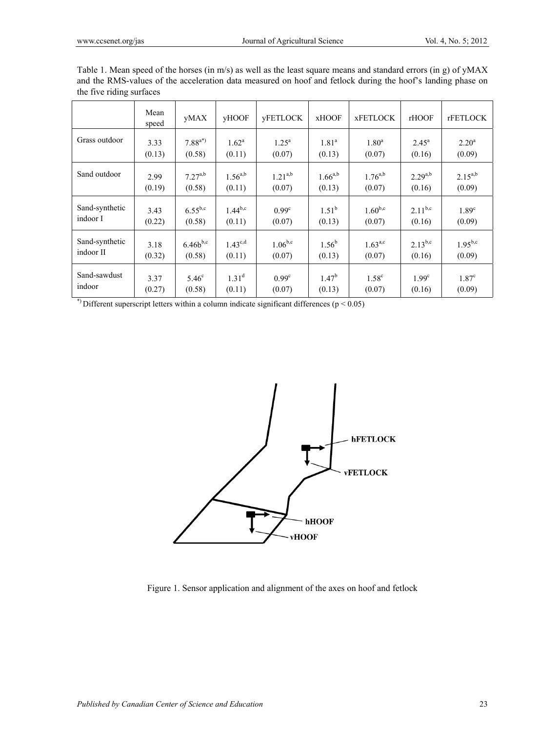|                | Mean<br>speed | yMAX          | yHOOF          | <b>yFETLOCK</b>   | <b>xHOOF</b> | <b>xFETLOCK</b>   | rHOOF             | <b>rFETLOCK</b>   |
|----------------|---------------|---------------|----------------|-------------------|--------------|-------------------|-------------------|-------------------|
| Grass outdoor  | 3.33          | $7.88^{a*}$   | $1.62^{\rm a}$ | $1.25^{\rm a}$    | $1.81^a$     | $1.80^a$          | $2.45^{\circ}$    | $2.20^{\rm a}$    |
|                | (0.13)        | (0.58)        | (0.11)         | (0.07)            | (0.13)       | (0.07)            | (0.16)            | (0.09)            |
| Sand outdoor   | 2.99          | $7.27^{a,b}$  | $1.56^{a,b}$   | $1.21^{a,b}$      | $1.66^{a,b}$ | $1.76^{a,b}$      | $2.29^{a,b}$      | $2.15^{a,b}$      |
|                | (0.19)        | (0.58)        | (0.11)         | (0.07)            | (0.13)       | (0.07)            | (0.16)            | (0.09)            |
| Sand-synthetic | 3.43          | $6.55^{b,c}$  | $1.44^{b,c}$   | $0.99^{\circ}$    | $1.51^{b}$   | $1.60^{b,c}$      | $2.11^{b,c}$      | 1.89 <sup>c</sup> |
| indoor I       | (0.22)        | (0.58)        | (0.11)         | (0.07)            | (0.13)       | (0.07)            | (0.16)            | (0.09)            |
| Sand-synthetic | 3.18          | $6.46b^{b,c}$ | $1.43^{c,d}$   | $1.06^{b,c}$      | $1.56^{b}$   | $1.63^{a,c}$      | $2.13^{b,c}$      | $1.95^{b,c}$      |
| indoor II      | (0.32)        | (0.58)        | (0.11)         | (0.07)            | (0.13)       | (0.07)            | (0.16)            | (0.09)            |
| Sand-sawdust   | 3.37          | $5.46^\circ$  | $1.31^{\rm d}$ | 0.99 <sup>c</sup> | $1.47^b$     | 1.58 <sup>c</sup> | 1.99 <sup>c</sup> | 1.87 <sup>c</sup> |
| indoor         | (0.27)        | (0.58)        | (0.11)         | (0.07)            | (0.13)       | (0.07)            | (0.16)            | (0.09)            |

Table 1. Mean speed of the horses (in m/s) as well as the least square means and standard errors (in g) of yMAX and the RMS-values of the acceleration data measured on hoof and fetlock during the hoof's landing phase on the five riding surfaces

\*) Different superscript letters within a column indicate significant differences ( $p < 0.05$ )



Figure 1. Sensor application and alignment of the axes on hoof and fetlock